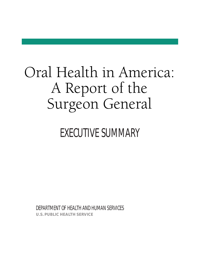# Oral Health in America: A Report of the Surgeon General

## EXECUTIVE SUMMARY

DEPARTMENT OF HEALTH AND HUMAN SERVICES **U.S. PUBLIC HEALTH SERVICE**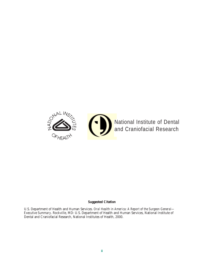

#### **Suggested Citation**

U.S. Department of Health and Human Services. *Oral Health in America: A Report of the Surgeon General— Executive Summary*. Rockville, MD: U.S. Department of Health and Human Services, National Institute of Dental and Craniofacial Research, National Institutes of Health, 2000.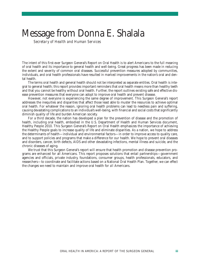## Message from Donna E. Shalala

*Secretary of Health and Human Services*

The intent of this first-ever Surgeon General's Report on Oral Health is to alert Americans to the full meaning of oral health and its importance to general health and well-being. Great progress has been made in reducing the extent and severity of common oral diseases. Successful prevention measures adopted by communities, individuals, and oral health professionals have resulted in marked improvements in the nation's oral and dental health.

The terms oral health and general health should not be interpreted as separate entities. Oral health is integral to general health; this report provides important reminders that oral health means more than healthy teeth and that you cannot be healthy without oral health. Further, the report outlines existing safe and effective disease prevention measures that everyone can adopt to improve oral health and prevent disease.

However, not everyone is experiencing the same degree of improvement. This Surgeon General's report addresses the inequities and disparities that affect those least able to muster the resources to achieve optimal oral health. For whatever the reason, ignoring oral health problems can lead to needless pain and suffering, causing devastating complications to an individual's well-being, with financial and social costs that significantly diminish quality of life and burden American society.

For a third decade, the nation has developed a plan for the prevention of disease and the promotion of health, including oral health, embodied in the U.S. Department of Health and Human Services document, Healthy People 2010. This Surgeon General's Report on Oral Health emphasizes the importance of achieving the Healthy People goals to increase quality of life and eliminate disparities. As a nation, we hope to address the determinants of health—individual and environmental factors—in order to improve access to quality care, and to support policies and programs that make a difference for our health. We hope to prevent oral diseases and disorders, cancer, birth defects, AIDS and other devastating infections, mental illness and suicide, and the chronic diseases of aging.

We trust that this Surgeon General's report will ensure that health promotion and disease prevention programs are enhanced for all Americans. This report proposes solutions that entail partnerships—government agencies and officials, private industry, foundations, consumer groups, health professionals, educators, and researchers—to coordinate and facilitate actions based on a National Oral Health Plan. Together, we can effect the changes we need to maintain and improve oral health for *all* Americans.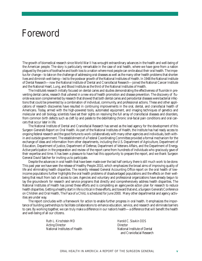### Foreword

The growth of biomedical research since World War II has wrought extraordinary advances in the health and well-being of the American people. The story is particularly remarkable in the case of oral health, where we have gone from a nation plagued by the pains of toothache and tooth loss to a nation where most people can smile about their oral health. The impetus for change—to take on the challenge of addressing oral diseases as well as the many other health problems that shorten lives and diminish well-being—led to the postwar growth of the National Institutes of Health. In 1948 the National Institute of Dental Research—now the National Institute of Dental and Craniofacial Research—joined the National Cancer Institute and the National Heart, Lung, and Blood Institute as the third of the National Institutes of Health.

The Institute's research initially focused on dental caries and studies demonstrating the effectiveness of fluoride in preventing dental caries, research that ushered in a new era of health promotion and disease prevention. The discovery of fluoride was soon complemented by research that showed that both dental caries and periodontal diseases were bacterial infections that could be prevented by a combination of individual, community, and professional actions. These and other applications of research discoveries have resulted in continuing improvements in the oral, dental, and craniofacial health of Americans. Today, armed with the high-powered tools, automated equipment, and imaging techniques of genetics and molecular and cell biology, scientists have set their sights on resolving the full array of craniofacial diseases and disorders, from common birth defects such as cleft lip and palate to the debilitating chronic oral-facial pain conditions and oral cancers that occur later in life.

The National Institute of Dental and Craniofacial Research has served as the lead agency for the development of this Surgeon General's Report on Oral Health. As part of the National Institutes of Health, the Institute has had ready access to ongoing federal research and the good fortune to work collaboratively with many other agencies and individuals, both within and outside government. The establishment of a Federal Coordinating Committee provided a formal mechanism for the exchange of ideas and information from other departments, including the U.S. Department of Agriculture, Department of Education, Department of Justice, Department of Defense, Department of Veterans Affairs, and the Department of Energy. Active participation in the preparation and review of the report came from hundreds of individuals who graciously gave of their expertise and time. It has been a pleasure to have had this opportunity to prepare the report, and we thank Surgeon General David Satcher for inviting us to participate.

Despite the advances in oral health that have been made over the last half century, there is still much work to be done. This past year we have seen the release of Healthy People 2010, which emphasizes the broad aims of improving quality of life and eliminating health disparities. The recently released General Accounting Office report on the oral health of lowincome populations further highlights the oral health problems of disadvantaged populations and the effects on their wellbeing that result from lack of access to care. Agencies and voluntary and professional organizations have already begun to lay the groundwork for research and service programs that directly and comprehensively address health disparities. The National Institutes of Health has joined these efforts and is completing an agencywide action plan for research to reduce health disparities. Getting a healthy start in life is critical in these efforts, and toward that end, a Surgeon General's Conference on Children and Oral Health, The Face of a Child, is scheduled for June 2000. Many other departmental and agency activities are under way.

The report concludes with a framework for action to enable further progress in oral health. It emphasizes the importance of building partnerships to facilitate collaborations to enhance education, service, and research and eliminate barriers to care. By working together, we can truly make a difference in our nation's health—a difference that will benefit the health and well-being of all our citizens.

| Ruth L. Kirschstein MD        | Harold C. Slavkin DDS        |
|-------------------------------|------------------------------|
| <b>Acting Director</b>        | Director                     |
| National Institutes of Health | National Institute of Dental |
|                               | and Craniofacial Research    |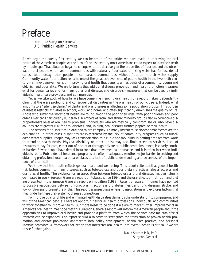### Preface *from the Surgeon General U.S. Public Health Service*

As we begin the twenty-first century we can be proud of the strides we have made in improving the oral health of the American people. At the turn of the last century most Americans could expect to lose their teeth by middle age. That situation began to change with the discovery of the properties of fluoride, and the observation that people who lived in communities with naturally fluoridated drinking water had far less dental caries (tooth decay) than people in comparable communities without fluoride in their water supply. Community water fluoridation remains one of the great achievements of public health in the twentieth century—an inexpensive means of improving oral health that benefits all residents of a community, young and old, rich and poor alike. We are fortunate that additional disease prevention and health promotion measures exist for dental caries and for many other oral diseases and disorders—measures that can be used by individuals, health care providers, and communities.

Yet as we take stock of how far we have come in enhancing oral health, this report makes it abundantly clear that there are profound and consequential disparities in the oral health of our citizens. Indeed, what amounts to a "silent epidemic" of dental and oral diseases is affecting some population groups. This burden of disease restricts activities in school, work, and home, and often significantly diminishes the quality of life. Those who suffer the worst oral health are found among the poor of all ages, with poor children and poor older Americans particularly vulnerable. Members of racial and ethnic minority groups also experience a disproportionate level of oral health problems. Individuals who are medically compromised or who have disabilities are at greater risk for oral diseases, and, in turn, oral diseases further jeopardize their health.

The reasons for disparities in oral health are complex. In many instances, socioeconomic factors are the explanation. In other cases, disparities are exacerbated by the lack of community programs such as fluoridated water supplies. People may lack transportation to a clinic and flexibility in getting time off from work to attend to health needs. Physical disability or other illness may also limit access to services. Lack of resources to pay for care, either out of pocket or through private or public dental insurance, is clearly another barrier. Fewer people have dental insurance than have medical insurance, and it is often lost when individuals retire. Public dental insurance programs are often inadequate. Another major barrier to seeking and obtaining professional oral health care relates to a lack of public understanding and awareness of the importance of oral health.

We know that the mouth reflects general health and well-being. This report reiterates that general health risk factors common to many diseases, such as tobacco use and poor dietary practices, also affect oral and craniofacial health. The evidence for an association between tobacco use and oral diseases has been clearly delineated in every Surgeon General's report on tobacco since 1964, and the oral effects of nutrition and diet are presented in the Surgeon General's report on nutrition (1988). Recently, research findings have pointed to possible associations between chronic oral infections and diabetes, heart and lung diseases, stroke, and low-birth-weight, premature births. This report assesses these emerging associations and explores factors that may underlie these oral-systemic disease connections.

To improve quality of life and eliminate health disparities demands the understanding, compassion, and will of the American people. There are opportunities for all health professions, individuals, and communities to work together to improve health. But more needs to be done if we are to make further improvements in America's oral health. We hope that this Surgeon General's report will inform the American people about the opportunities to improve oral health and provide a platform from which the science base for craniofacial research can be expanded. The report should also serve to strengthen the translation of proven health promotion and disease prevention approaches into policy development, health care practice, and personal lifestyle behaviors. A framework for action that integrates oral health into overall health is critical if we are to see further gains.

> *David Satcher MD, PhD* Surgeon General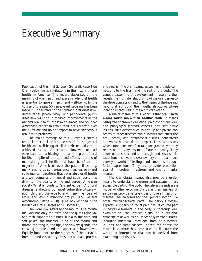## Executive Summary

Publication of this first Surgeon General's Report on Oral Health marks a milestone in the history of oral health in America. The report elaborates on the meaning of oral health and explains why oral health is essential to general health and well-being. In the course of the past 50 years, great progress has been made in understanding the common oral diseases dental caries (tooth decay) and periodontal (gum) diseases—resulting in marked improvements in the nation's oral health. Most middle-aged and younger Americans expect to retain their natural teeth over their lifetime and do not expect to have any serious oral health problems.

The major message of this Surgeon General's report is that oral health is essential to the general health and well-being of all Americans *and* can be achieved by all Americans. However, *not all* Americans are achieving the same degree of oral health. In spite of the safe and effective means of maintaining oral health that have benefited the majority of Americans over the past half century, many among us still experience needless pain and suffering, complications that devastate overall health and well-being, and financial and social costs that diminish the quality of life and burden American society. What amounts to "a silent epidemic" of oral diseases is affecting our most vulnerable citizens poor children, the elderly, and many members of racial and ethnic minority groups (U.S. General Accounting Office 2000). (See box entitled "The Burden of Oral Diseases and Disorders.")

The word *oral* refers to the mouth. The mouth includes not only the teeth and the gums (gingiva) and their supporting tissues, but also the hard and soft palate, the mucosal lining of the mouth and throat, the tongue, the lips, the salivary glands, the chewing muscles, and the upper and lower jaws. Equally important are the branches of the nervous, immune, and vascular systems that animate, protect,

and nourish the oral tissues, as well as provide connections to the brain and the rest of the body. The genetic patterning of development in utero further reveals the intimate relationship of the oral tissues to the developing brain and to the tissues of the face and head that surround the mouth, structures whose location is captured in the word *craniofacial*.

A major theme of this report is that **oral health means much more than healthy teeth**. It means being free of chronic oral-facial pain conditions, oral and pharyngeal (throat) cancers, oral soft tissue lesions, birth defects such as cleft lip and palate, and scores of other diseases and disorders that affect the oral, dental, and craniofacial tissues, collectively known as the *craniofacial complex*. These are tissues whose functions we often take for granted, yet they represent the very essence of our humanity. They allow us to speak and smile; sigh and kiss; smell, taste, touch, chew, and swallow; cry out in pain; and convey a world of feelings and emotions through facial expressions. They also provide protection against microbial infections and environmental insults.

The craniofacial tissues also provide a useful means to understanding organs and systems in less accessible parts of the body. The salivary glands are a model of other exocrine glands, and an analysis of saliva can provide telltale clues of overall health or disease. The jawbones and their joints function like other musculoskeletal parts. The nervous system apparatus underlying facial pain has its counterpart in nerves elsewhere in the body. A thorough oral examination can detect signs of nutritional deficiencies as well as a number of systemic diseases, including microbial infections, immune disorders, injuries, and some cancers. Indeed, the phrase *the mouth is a mirror* has been used to illustrate the wealth of information that can be derived from examining oral tissues.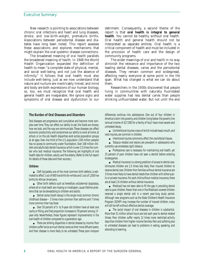New research is pointing to associations between chronic oral infections and heart and lung diseases, stroke, and low-birth-weight, premature births. Associations between periodontal disease and diabetes have long been noted. This report assesses these associations and explores mechanisms that might explain the oral-systemic disease connections.

The broadened meaning of *oral health* parallels the broadened meaning of *health*. In 1948 the World Health Organization expanded the definition of health to mean "a complete state of physical, mental, and social well-being, and not just the absence of infirmity." It follows that oral health must also include well-being. Just as we now understand that nature and nurture are inextricably linked, and mind and body are both expressions of our human biology, so, too, we must recognize that oral health and general health are inseparable. We ignore signs and symptoms of oral disease and dysfunction to our

detriment. Consequently, a second theme of the report is that **oral health is integral to general health**. You cannot be healthy without oral health. Oral health and general health should not be interpreted as separate entities. Oral health is a critical component of health and must be included in the provision of health care and the design of community programs.

The wider meanings of *oral* and *health* in no way diminish the relevance and importance of the two leading dental diseases, caries and the periodontal diseases. They remain common and widespread, affecting nearly everyone at some point in the life span. What has changed is what we can do about them.

Researchers in the 1930s discovered that people living in communities with naturally fluoridated water supplies had less dental caries than people drinking unfluoridated water. But not until the end

#### **The Burden of Oral Diseases and Disorders**

Oral diseases are progressive and cumulative and become more complex over time. They can affect our ability to eat, the foods we choose, how we look, and the way we communicate. These diseases can affect economic productivity and compromise our ability to work at home, at school, or on the job. Health disparities exist across population groups at all ages. Over one third of the U.S.population (100 million people) has no access to community water fluoridation. Over 108 million children and adults lack dental insurance,which is over 2.5 times the number who lack medical insurance.The following are highlights of oral health data for children, adults, and the elderly. (Refer to the full report for details of these data and their sources.)

#### **Children**

● Cleft lip/palate, one of the most common birth defects, is estimated to affect 1 out of 600 live births for whites and 1 out of 1,850 live births for African Americans.

• Other birth defects such as hereditary ectodermal dysplasias, where all or most teeth are missing or misshapen, cause lifetime problems that can be devastating to children and adults.

● Dental caries (tooth decay) is the single most common chronic childhood disease—5 times more common than asthma and 7 times more common than hay fever.

● Over 50 percent of 5- to 9-year-old children have at least one cavity or filling, and that proportion increases to 78 percent among 17year-olds. Nevertheless, these figures represent improvements in the oral health of children compared to a generation ago.

● There are striking disparities in dental disease by income.Poor children suffer twice as much dental caries as their more affluent peers, and their disease is more likely to be untreated.These poor-nonpoor

differences continue into adolescence. One out of four children in America is born into poverty, and children living below the poverty line (annual income of \$17,000 for a family of four) have more severe and untreated decay.

● Unintentional injuries,many of which include head,mouth,and neck injuries, are common in children.

● Intentional injuries commonly affect the craniofacial tissues.

● Tobacco-related oral lesions are prevalent in adolescents who currently use smokeless (spit) tobacco.

• Professional care is necessary for maintaining oral health, yet 25 percent of poor children have not seen a dentist before entering kindergarten.

● Medical insurance is a strong predictor of access to dental care. Uninsured children are 2.5 times less likely than insured children to receive dental care.Children from families without dental insurance are 3 times more likely to have dental needs than children with either public or private insurance. For each child without medical insurance, there are at least 2.6 children without dental insurance.

● Medicaid has not been able to fill the gap in providing dental care to poor children. Fewer than one in five Medicaid-covered children received a single dental visit in a recent year-long study period. Although new programs such as the State Children's Health Insurance Program (SCHIP) may increase the number of insured children, many will still be left without effective dental coverage.

● The social impact of oral diseases in children is substantial. More than 51 million school hours are lost each year to dental-related illness. Poor children suffer nearly 12 times more restricted-activity days than children from higher-income families.Pain and suffering due to untreated diseases can lead to problems in eating, speaking, and attending to learning.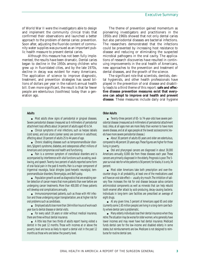of World War II were the investigators able to design and implement the community clinical trials that confirmed their observations and launched a better approach to the problem of dental caries: prevention. Soon after, adjusting the fluoride content of community water supplies was pursued as an important public health measure to prevent dental caries.

Although this measure has not been fully implemented, the results have been dramatic. Dental caries began to decline in the 1950s among children who grew up in fluoridated cities, and by the late 1970s, decline in decay was evident for many Americans. The application of science to improve diagnostic, treatment, and prevention strategies has saved billions of dollars per year in the nation's annual health bill. Even more significant, the result is that far fewer people are edentulous (toothless) today than a generation ago.

#### **Adults**

● Most adults show signs of periodontal or gingival diseases. Severe periodontal disease (measured as 6 millimeters of periodontal attachment loss) affects about 14 percent of adults aged 45 to 54.

● Clinical symptoms of viral infections, such as herpes labialis (cold sores),and oral ulcers (canker sores) are common in adulthood, affecting about 19 percent of adults 25 to 44 years of age.

● Chronic disabling diseases such as temporomandibular disorders, Sjögren's syndrome, diabetes, and osteoporosis affect millions of Americans and compromise oral health and functioning.

● Pain is a common symptom of craniofacial disorders and is accompanied by interference with vital functions such as eating, swallowing, and speech. Twenty-two percent of adults reported some form of oral-facial pain in the past 6 months.Pain is a major component of trigeminal neuralgia, facial shingles (post-herpetic neuralgia), temporomandibular disorders, fibromyalgia, and Bell's palsy.

● Population growth as well as diagnostics that are enabling earlier detection of cancer means that more patients than ever before are undergoing cancer treatments. More than 400,000 of these patients will develop oral complications annually.

● Immunocompromised patients, such as those with HIV infection and those undergoing organ transplantation, are at higher risk for oral problems such as candidiasis.

● Employed adults lose more than 164 million hours of work each year due to dental disease or dental visits.

● For every adult 19 years or older without medical insurance, there are three without dental insurance.

● A little less than two thirds of adults report having visited a dentist in the past 12 months. Those with incomes at or above the poverty level are twice as likely to report a dental visit in the past 12 months as those who are below the poverty level.

The theme of prevention gained momentum as pioneering investigators and practitioners in the 1950s and 1960s showed that not only dental caries but also periodontal diseases are bacterial infections. The researchers demonstrated that the infections could be prevented by increasing host resistance to disease and reducing or eliminating the suspected microbial pathogens in the oral cavity. The applications of research discoveries have resulted in continuing improvements in the oral health of Americans, new approaches to the prevention and treatment of dental diseases, and the growth of the science.

The significant role that scientists, dentists, dental hygienists, and other health professionals have played in the prevention of oral disease and disability leads to a third theme of this report: **safe and effective disease prevention measures exist that everyone can adopt to improve oral health and prevent disease**. These measures include daily oral hygiene

#### **Older Adults**

● Twenty-three percent of 65- to 74-year-olds have severe periodontal disease (measured as 6 millimeters of periodontal attachment loss). (Also, at all ages men are more likely than women to have more severe disease, and at all ages people at the lowest socioeconomic levels have more severe periodontal disease.)

● About 30 percent of adults 65 years and older are edentulous, compared to 46 percent 20 years ago.These figures are higher for those living in poverty.

● Oral and pharyngeal cancers are diagnosed in about 30,000 Americans annually; 8,000 die from these diseases each year. These cancers are primarily diagnosed in the elderly.Prognosis is poor.The 5 year survival rate for white patients is 56 percent; for blacks, it is only 34 percent.

● Most older Americans take both prescription and over-thecounter drugs. In all probability, at least one of the medications used will have an oral side effect—usually dry mouth.The inhibition of salivary flow increases the risk for oral disease because saliva contains antimicrobial components as well as minerals that can help rebuild tooth enamel after attack by acid-producing, decay-causing bacteria. Individuals in long-term care facilities are prescribed an average of eight drugs.

● At any given time, 5 percent of Americans aged 65 and older (currently some 1.65 million people) are living in a long-term care facility where dental care is problematic.

● Many elderly individuals lose their dental insurance when they retire. The situation may be worse for older women, who generally have lower incomes and may never have had dental insurance. Medicaid funds dental care for the low-income and disabled elderly in some states, but reimbursements are low. Medicare is not designed to reimburse for routine dental care.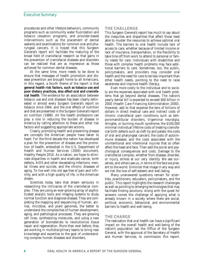procedures and other lifestyle behaviors, community programs such as community water fluoridation and tobacco cessation programs, and provider-based interventions such as the placement of dental sealants and examinations for common oral and pharyngeal cancers. It is hoped that this Surgeon General's report will facilitate the maturing of the broad field of craniofacial research so that gains in the prevention of craniofacial diseases and disorders can be realized that are as impressive as those achieved for common dental diseases.

At the same time, more needs to be done to ensure that messages of health promotion and disease prevention are brought home to all Americans. In this regard, a fourth theme of the report is that **general health risk factors, such as tobacco use and poor dietary practices, also affect oral and craniofacial health**. The evidence for an association between tobacco use and oral diseases has been clearly delineated in almost every Surgeon General's report on tobacco since 1964, and the oral effects of nutrition and diet are presented in the Surgeon General's report on nutrition (1988). All the health professions can play a role in reducing the burden of disease in America by calling attention to these and other risk factors and suggesting appropriate actions.

Clearly, promoting health and preventing disease are concepts the American people have taken to heart. For the third decade the nation has developed a plan for the prevention of disease and the promotion of health, embodied in the U.S. Department of Health and Human Services (2000) document, Healthy People 2010. As a nation, we hope to eliminate disparities in health and eradicate cancer, birth defects, AIDS and other devastating infections, mental illness and suicide, and the chronic diseases of aging. To live well into old age free of pain and infirmity, and with a high quality of life, is the American dream.

Scientists today take that dream seriously in researching the intricacies of the craniofacial complex. They are using an ever-growing array of sophisticated analytic tools and imaging systems to study normal function and diagnose disease. They are completing the mapping and sequencing of human, animal, microbial, and plant genomes, the better to understand the complexities of human development, aging, and pathological processes. They are growing cell lines, synthesizing molecules, and using a new generation of biomaterials to revolutionize tissue repair and regeneration. More than ever before, they are working in multidisciplinary teams to bring new knowledge and expertise to the goal of understanding complex human diseases and disorders.

#### **THE CHALLENGE**

This Surgeon General's report has much to say about the inequities and disparities that affect those least able to muster the resources to achieve optimal oral health. The barriers to oral health include lack of access to care, whether because of limited income or lack of insurance, transportation, or the flexibility to take time off from work to attend to personal or family needs for care. Individuals with disabilities and those with complex health problems may face additional barriers to care. Sometimes, too, the public, policymakers, and providers may consider oral health and the need for care to be less important than other health needs, pointing to the need to raise awareness and improve health literacy.

Even more costly to the individual and to society are the expenses associated with oral health problems that go beyond dental diseases. The nation's yearly dental bill is expected to exceed \$60 billion in 2000 (Health Care Financing Administration 2000). However, add to that expense the tens of billions of dollars in direct medical care and indirect costs of chronic craniofacial pain conditions such as temporomandibular disorders, trigeminal neuralgia, shingles, or burning mouth syndrome; the \$100,000 minimal individual lifetime costs of treating craniofacial birth defects such as cleft lip and palate; the costs of oral and pharyngeal cancers; the costs of autoimmune diseases; and the costs associated with the unintentional and intentional injuries that so often affect the head and face. Then add the social and psychological consequences and costs. Damage to the craniofacial complex, whether from disease, disorder, or injury, strikes at our very identity. We see ourselves, and others see us, in terms of the face we present to the world. Diminish that image in any way and we risk the loss of self-esteem and well-being.

Many unanswered questions remain for scientists, practitioners, educators, policymakers, and the public. This report highlights the research challenges as well as pointing to emerging technologies that may facilitate finding solutions. Along with the quest for answers comes the challenge of applying what is already known in a society where there are social, political, economic, behavioral, and environmental barriers to health and well-being.

#### **THE CHARGE**

The realization that oral health can have a significant impact on the overall health and well-being of the nation's population led the Office of the Surgeon General, with the approval of the Secretary of Health and Human Services, to commission this report.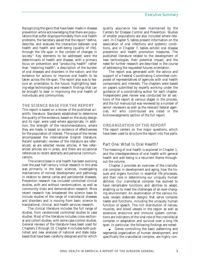Recognizing the gains that have been made in disease prevention while acknowledging that there are populations that suffer disproportionately from oral health problems, the Secretary asked that the report "define, describe, and evaluate the interaction between oral health and health and well-being [quality of life], through the life span in the context of changes in society." Key elements to be addressed were the determinants of health and disease, with a primary focus on prevention and "producing health" rather than "restoring health"; a description of the burden of oral diseases and disorders in the nation; and the evidence for actions to improve oral health to be taken across the life span. The report also was to feature an orientation to the future, highlighting leading-edge technologies and research findings that can be brought to bear in improving the oral health of individuals and communities.

#### **THE SCIENCE BASE FOR THE REPORT**

This report is based on a review of the published scientific literature. Standards established to determine the quality of the evidence, based on the study design and its rigor, were used where appropriate. In addition, the strength of the recommendations, where they are made, is based on evidence of effectiveness for the population of interest. The scope of the review encompassed the international English literature. Recent systematic reviews of the literature are referenced, as are selected review articles. A few referenced articles are in press, and there are occasional references to recent abstracts and personal communications.

The science base in oral health has been evolving over the past half century. Initial research in this area was primarily in the basic sciences, investigating mechanisms of normal development and pathology in relation to dental caries and periodontal diseases. Prevention research has included controlled clinical studies, with and without randomization, as well as community trials and demonstration research. More recent research has broadened the science base to include studies of the range of craniofacial diseases and disorders and is moving from basic science to translational, clinical, and health services research.

The clinical literature includes the full range of studies, from randomized controlled studies to case studies. Most of the literature includes cross-sectional and cohort studies, with some case-control studies. General reviews of the literature have been used for Chapters 2 through 10. Chapter 4 includes both published and new analyses of national and state databases that have been carefully designed and for which quality assurance has been maintained by the Centers for Disease Control and Prevention. Studies of smaller populations are also included where relevant. In Chapter 5, tables present information on the association of oral infections and systemic conditions, and in Chapter 7, tables exhibit oral disease prevention and health promotion measures. The published literature related to the development of new technologies, their potential impact, and the need for further research are described in the course of addressing the requested futures orientation.

The report was generated with the advice and support of a Federal Coordinating Committee composed of representatives of agencies with oral health components and interests. The chapters were based on papers submitted by experts working under the guidance of a coordinating author for each chapter. Independent peer review was conducted for all sections of the report at various stages in the process, and the full manuscript was reviewed by a number of senior reviewers as well as the relevant federal agencies. All who contributed are listed in the Acknowledgments section of the full report.

#### **ORGANIZATION OF THE REPORT**

The report centers on five major questions, which have been used to structure the report into five parts.

#### Part One: What Is Oral Health?

The meaning of oral health is explored in Chapter 1, and the interdependence of oral health with general health and well-being is a recurrent theme throughout the volume.

Chapter 2 provides an overview of the craniofacial complex in development and aging, how the tissues and organs function in essential life processes, and their role in determining our uniquely human abilities. Our craniofacial complex has evolved to have remarkable functions and abilities to adapt, enabling us to meet the challenges of an ever-changing environment. An examination of the various tissues reveals elaborate designs that serve complex needs and functions, including the uniquely human function of speech. The rich distribution of nerves, muscles, and blood vessels in the region as well as extensive endocrine and immune system connections are indicators of the vital role of the craniofacial complex in adaptation and survival over a long life span. In particular, the following findings are noted:

Genes controlling the basic patterning and segmental organization of human development, and specifically the craniofacial complex, are highly con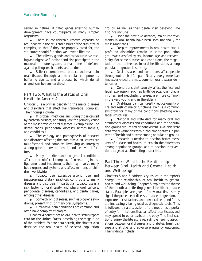served in nature. Mutated genes affecting human development have counterparts in many simpler organisms.

● There is considerable reserve capacity or redundancy in the cells and tissues of the craniofacial complex, so that if they are properly cared for, the structures should function well over a lifetime.

• The salivary glands and saliva subserve tasting and digestive functions and also participate in the mucosal immune system, a main line of defense against pathogens, irritants, and toxins.

• Salivary components protect and maintain oral tissues through antimicrobial components, buffering agents, and a process by which dental enamel can be remineralized.

#### Part Two: What Is the Status of Oral Health in America?

Chapter 3 is a primer describing the major diseases and disorders that affect the craniofacial complex. The findings include:

• Microbial infections, including those caused by bacteria, viruses, and fungi, are the primary cause of the most prevalent oral diseases. Examples include dental caries, periodontal diseases, herpes labialis, and candidiasis.

• The etiology and pathogenesis of diseases and disorders affecting the craniofacial structures are multifactorial and complex, involving an interplay among genetic, environmental, and behavioral factors.

Many inherited and congenital conditions affect the craniofacial complex, often resulting in disfigurement and impairments that may involve many body organs and systems and affect millions of children worldwide.

● Tobacco use, excessive alcohol use, and inappropriate dietary practices contribute to many diseases and disorders. In particular, tobacco use is a risk factor for oral cavity and pharyngeal cancers, periodontal diseases, candidiasis, and dental caries, among other diseases.

● Some chronic diseases, such as Sjögren's syndrome, present with primary oral symptoms.

● Oral-facial pain conditions are common and often have complex etiologies.

Chapter 4 constitutes an oral health status report card for the United States, describing the magnitude of the problem. Where data permit, the chapter also describes the oral health of selected population groups, as well as their dental visit behavior. The findings include:

● Over the past five decades, major improvements in oral health have been seen nationally for most Americans.

• Despite improvements in oral health status, profound disparities remain in some population groups as classified by sex, income, age, and race/ethnicity. For some diseases and conditions, the magnitude of the differences in oral health status among population groups is striking.

● Oral diseases and conditions affect people throughout their life span. Nearly every American has experienced the most common oral disease, dental caries.

● Conditions that severely affect the face and facial expression, such as birth defects, craniofacial injuries, and neoplastic diseases, are more common in the very young and in the elderly.

● Oral-facial pain can greatly reduce quality of life and restrict major functions. Pain is a common symptom for many of the conditions affecting oralfacial structures.

● National and state data for many oral and craniofacial diseases and conditions and for population groups are limited or nonexistent. Available state data reveal variations within and among states in patterns of health and disease among population groups.

• Research is needed to develop better measures of disease and health, to explain the differences among population groups, and to develop interventions targeted at eliminating disparities.

#### Part Three: What Is the Relationship Between Oral Health and General Health and Well-being?

Chapters 5 and 6 address key issues in the report's charge—the relationship of oral health to general health and well-being. Chapter 5 explores the theme of the mouth as reflecting general health or disease status. Examples are given of how oral tissues may signal the presence of disease, disease progression, or exposure to risk factors, and how oral cells and fluids are increasingly being used as diagnostic tools. This is followed by a discussion of the mouth as a portal of entry for infections that can affect local tissues and may spread to other parts of the body. The final sections review the literature regarding emerging associations between oral diseases and diabetes, heart disease and stroke, and adverse pregnancy outcomes. The findings include: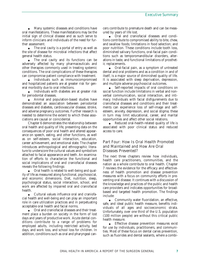• Many systemic diseases and conditions have oral manifestations. These manifestations may be the initial sign of clinical disease and as such serve to inform clinicians and individuals of the need for further assessment.

• The oral cavity is a portal of entry as well as the site of disease for microbial infections that affect general health status.

● The oral cavity and its functions can be adversely affected by many pharmaceuticals and other therapies commonly used in treating systemic conditions. The oral complications of these therapies can compromise patient compliance with treatment.

Individuals such as immunocompromised and hospitalized patients are at greater risk for general morbidity due to oral infections.

● Individuals with diabetes are at greater risk for periodontal diseases.

● Animal and population-based studies have demonstrated an association between periodontal diseases and diabetes, cardiovascular disease, stroke, and adverse pregnancy outcomes. Further research is needed to determine the extent to which these associations are causal or coincidental.

Chapter 6 demonstrates the relationship between oral health and quality of life, presenting data on the consequences of poor oral health and altered appearance on speech, eating, and other functions, as well as on self-esteem, social interaction, education, career achievement, and emotional state. The chapter introduces anthropological and ethnographic literature to underscore the cultural values and symbolism attached to facial appearance and teeth. An examination of efforts to characterize the functional and social implications of oral and craniofacial diseases reveals the following findings:

• Oral health is related to well-being and quality of life as measured along functional, psychosocial, and economic dimensions. Diet, nutrition, sleep, psychological status, social interaction, school, and work are affected by impaired oral and craniofacial health.

Cultural values influence oral and craniofacial health and well-being and can play an important role in care utilization practices and in perpetuating acceptable oral health and facial norms.

● Oral and craniofacial diseases and their treatment place a burden on society in the form of lost days and years of productive work. Acute dental conditions contribute to a range of problems for employed adults, including restricted activity, bed days, and work loss, and school loss for children. In addition, conditions such as oral and pharyngeal cancers contribute to premature death and can be measured by years of life lost.

● Oral and craniofacial diseases and conditions contribute to compromised ability to bite, chew, and swallow foods; limitations in food selection; and poor nutrition. These conditions include tooth loss, diminished salivary functions, oral-facial pain conditions such as temporomandibular disorders, alterations in taste, and functional limitations of prosthetic replacements.

● Oral-facial pain, as a symptom of untreated dental and oral problems and as a condition in and of itself, is a major source of diminished quality of life. It is associated with sleep deprivation, depression, and multiple adverse psychosocial outcomes.

• Self-reported impacts of oral conditions on social function include limitations in verbal and nonverbal communication, social interaction, and intimacy. Individuals with facial disfigurements due to craniofacial diseases and conditions and their treatments can experience loss of self-image and selfesteem, anxiety, depression, and social stigma; these in turn may limit educational, career, and marital opportunities and affect other social relations.

● Reduced oral-health-related quality of life is associated with poor clinical status and reduced access to care.

#### Part Four: How Is Oral Health Promoted and Maintained and How Are Oral Diseases Prevented?

The next three chapters review how individuals, health care practitioners, communities, and the nation as a whole contribute to oral health. Chapter 7 reviews the evidence for the efficacy and effectiveness of health promotion and disease prevention measures with a focus on community efforts in preventing oral disease. It continues with a discussion of the knowledge and practices of the public and health care providers and indicates opportunities for broadbased and targeted health promotion. The findings include:

• Community water fluoridation, an effective, safe, and ideal public health measure, benefits individuals of all ages and socioeconomic strata. Unfortunately, over one third of the U.S. population (100 million people) are without this critical public health measure.

● Effective disease prevention measures exist for use by individuals, practitioners, and communities. Most of these focus on dental caries prevention, such as fluorides and dental sealants, where a combi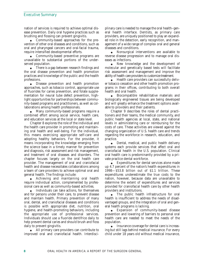nation of services is required to achieve optimal disease prevention. Daily oral hygiene practices such as brushing and flossing can prevent gingivitis.

• Community-based approaches for the prevention of other oral diseases and conditions, such as oral and pharyngeal cancers and oral-facial trauma, require intensified developmental efforts.

● Community-based preventive programs are unavailable to substantial portions of the underserved population.

• There is a gap between research findings and the oral disease prevention and health promotion practices and knowledge of the public and the health professions.

● Disease prevention and health promotion approaches, such as tobacco control, appropriate use of fluorides for caries prevention, and folate supplementation for neural tube defect prevention, highlight opportunities for partnerships between community-based programs and practitioners, as well as collaborations among health professionals.

• Many community-based programs require a combined effort among social service, health care, and education services at the local or state level.

Chapter 8 explores the role of the individual and the health care provider in promoting and maintaining oral health and well-being. For the individual, this means exercising appropriate self-care and adopting healthy behaviors. For the provider, it means incorporating the knowledge emerging from the science base in a timely manner for prevention and diagnosis, risk assessment and risk management, and treatment of oral diseases and disorders. The chapter focuses largely on the oral health care provider. The management of oral and craniofacial health and disease necessitates collaborations among a team of care providers to achieve optimal oral and general health. The findings include:

● Achieving and maintaining oral health require individual action, complemented by professional care as well as community-based activities.

● Individuals can take actions, for themselves and for persons under their care, to prevent disease and maintain health. Primary prevention of many oral, dental, and craniofacial diseases and conditions is possible with appropriate diet, nutrition, oral hygiene, and health-promoting behaviors, including the appropriate use of professional services. Individuals should use a fluoride dentifrice daily to help prevent dental caries and should brush and floss daily to prevent gingivitis.

● All primary care providers can contribute to improved oral and craniofacial health. Interdisci-

plinary care is needed to manage the oral health–general health interface. Dentists, as primary care providers, are uniquely positioned to play an expanded role in the detection, early recognition, and management of a wide range of complex oral and general diseases and conditions.

Nonsurgical interventions are available to reverse disease progression and to manage oral diseases as infections.

● New knowledge and the development of molecular and genetically based tests will facilitate risk assessment and management and improve the ability of health care providers to customize treatment.

● Health care providers can successfully deliver tobacco cessation and other health promotion programs in their offices, contributing to both overall health and oral health.

● Biocompatible rehabilitative materials and biologically engineered tissues are being developed and will greatly enhance the treatment options available to providers and their patients.

Chapter 9 describes the roles of dental practitioners and their teams, the medical community, and public health agencies at local, state, and national levels in administering care or reimbursing for the costs of care. These activities are viewed against the changing organization of U.S. health care and trends regarding the workforce in research, education, and practice.

• Dental, medical, and public health delivery systems each provide services that affect oral and craniofacial health in the U.S. population. Clinical oral health care is predominantly provided by a private practice dental workforce.

● Expenditures for dental services alone made up 4.7 percent of the nation's health expenditures in 1998—\$53.8 billion out of \$1.1 trillion. These expenditures underestimate the true costs to the nation, however, because data are unavailable to determine the extent of expenditures and services provided for craniofacial health care by other health providers and institutions.

The public health infrastructure for oral health is insufficient to address the needs of disadvantaged groups, and the integration of oral and general health programs is lacking.

● Expansion of community-based disease prevention and lowering of barriers to personal oral health care are needed to meet the needs of the population.

● Insurance coverage for dental care is increasing but still lags behind medical insurance. For every child under 18 years old without medical insurance,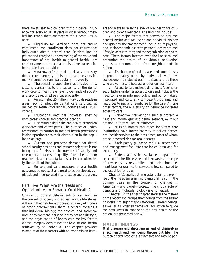there are at least two children without dental insurance; for every adult 18 years or older without medical insurance, there are three without dental insurance.

● Eligibility for Medicaid does not ensure enrollment, and enrollment does not ensure that individuals obtain needed care. Barriers include patient and caregiver understanding of the value and importance of oral health to general health, low reimbursement rates, and administrative burdens for both patient and provider.

● A narrow definition of "medically necessary dental care" currently limits oral health services for many insured persons, particularly the elderly.

• The dentist-to-population ratio is declining, creating concern as to the capability of the dental workforce to meet the emerging demands of society and provide required services efficiently.

● An estimated 25 million individuals reside in areas lacking adequate dental care services, as defined by Health Professional Shortage Area (HPSA) criteria.

● Educational debt has increased, affecting both career choices and practice location.

● Disparities exist in the oral health profession workforce and career paths. The number of underrepresented minorities in the oral health professions is disproportionate to their distribution in the population at large.

● Current and projected demand for dental school faculty positions and research scientists is not being met. A crisis in the number of faculty and researchers threatens the quality of dental education; oral, dental, and craniofacial research; and, ultimately, the health of the public.

Reliable and valid measures of oral health outcomes do not exist and need to be developed, validated, and incorporated into practice and programs.

#### Part Five: What Are the Needs and Opportunities to Enhance Oral Health?

Chapter 10 looks at determinants of oral health in the context of society and across various life stages. Although theorists have proposed a variety of models of health determinants, there is general consensus that individual biology, the physical and socioeconomic environment, personal behaviors and lifestyle, and the organization of health care are key factors whose interplay determines the level of oral health achieved by an individual. The chapter provides examples of these factors with an emphasis on barriers and ways to raise the level of oral health for children and older Americans. The findings include:

● The major factors that determine oral and general health and well-being are individual biology and genetics; the environment, including its physical and socioeconomic aspects; personal behaviors and lifestyle; access to care; and the organization of health care. These factors interact over the life span and determine the health of individuals, population groups, and communities—from neighborhoods to nations.

The burden of oral diseases and conditions is disproportionately borne by individuals with low socioeconomic status at each life stage and by those who are vulnerable because of poor general health.

● Access to care makes a difference. A complex set of factors underlies access to care and includes the need to have an informed public and policymakers, integrated and culturally competent programs, and resources to pay and reimburse for the care. Among other factors, the availability of insurance increases access to care.

● Preventive interventions, such as protective head and mouth gear and dental sealants, exist but are not uniformly used or reinforced.

● Nursing homes and other long-term care institutions have limited capacity to deliver needed oral health services to their residents, most of whom are at increased risk for oral diseases.

● Anticipatory guidance and risk assessment and management facilitate care for children and for the elderly.

● Federal and state assistance programs for selected oral health services exist; however, the scope of services is severely limited, and their reimbursement level for oral health services is low compared to the usual fee for care.

Chapter 11 spells out in greater detail the promise of the life sciences in improving oral health in the coming years in the context of changes in American—and global—society. The critical role of genetics and molecular biology is emphasized.

Chapter 12, the final chapter, iterates the themes of the report and groups the findings from the earlier chapters into eight major categories. These findings, as well as a suggested framework for action to guide the next steps in enhancing the oral health of the nation, are presented below.

#### **MAJOR FINDINGS**

**Oral diseases and disorders in and of themselves affect health and well-being throughout life.** The burden of oral problems is extensive and may be par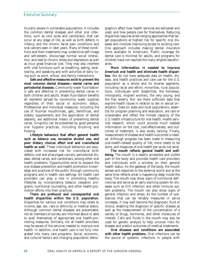ticularly severe in vulnerable populations. It includes the common dental diseases and other oral infections, such as cold sores and candidiasis, that can occur at any stage of life, as well as birth defects in infancy, and the chronic facial pain conditions and oral cancers seen in later years. Many of these conditions and their treatments may undermine self-image and self-esteem, discourage normal social interaction, and lead to chronic stress and depression as well as incur great financial cost. They may also interfere with vital functions such as breathing, eating, swallowing, and speaking and with activities of daily living such as work, school, and family interactions.

**Safe and effective measures exist to prevent the most common dental diseases—dental caries and periodontal diseases.** Community water fluoridation is safe and effective in preventing dental caries in both children and adults. Water fluoridation benefits all residents served by community water supplies regardless of their social or economic status. Professional and individual measures, including the use of fluoride mouthrinses, gels, dentifrices, and dietary supplements and the application of dental sealants, are additional means of preventing dental caries. Gingivitis can be prevented by good personal oral hygiene practices, including brushing and flossing.

**Lifestyle behaviors that affect general health such as tobacco use, excessive alcohol use, and poor dietary choices affect oral and craniofacial health as well.** These individual behaviors are associated with increased risk for craniofacial birth defects, oral and pharyngeal cancers, periodontal disease, dental caries, and candidiasis, among other oral health problems. Opportunities exist to expand the oral disease prevention and health promotion knowledge and practices of the public through community programs and in health care settings. All health care providers can play a role in promoting healthy lifestyles by incorporating tobacco cessation programs, nutritional counseling, and other health-promotion efforts into their practices.

**There are profound and consequential oral health disparities within the U.S. population.** Disparities for various oral conditions may relate to income, age, sex, race or ethnicity, or medical status. Although common dental diseases are preventable, not all members of society are informed about or able to avail themselves of appropriate oral health-promoting measures. Similarly, not all health providers may be aware of the services needed to improve oral health. In addition, oral health care is not fully integrated into many care programs. Social, economic, and cultural factors and changing population demographics affect how health services are delivered and used, and how people care for themselves. Reducing disparities requires wide-ranging approaches that target populations at highest risk for specific oral diseases and involves improving access to existing care. One approach includes making dental insurance more available to Americans. Public coverage for dental care is minimal for adults, and programs for children have not reached the many eligible beneficiaries.

**More information is needed to improve America's oral health and eliminate health disparities.** We do not have adequate data on health, disease, and health practices and care use for the U.S. population as a whole and its diverse segments, including racial and ethnic minorities, rural populations, individuals with disabilities, the homeless, immigrants, migrant workers, the very young, and the frail elderly. Nor are there sufficient data that explore health issues in relation to sex or sexual orientation. Data on state and local populations, essential for program planning and evaluation, are rare or unavailable and reflect the limited capacity of the U.S. health infrastructure for oral health. Health services research, which could provide much needed information on the cost, cost-effectiveness, and outcomes of treatment, is also sorely lacking. Finally, measurement of disease and health outcomes is needed. Although progress has been made in measuring oral-health-related quality of life, more needs to be done, and measures of oral health per se do not exist.

**The mouth reflects general health and wellbeing.** The mouth is a readily accessible and visible part of the body and provides health care providers and individuals with a window on their general health status. As the gateway of the body, the mouth senses and responds to the external world and at the same time reflects what is happening deep inside the body. The mouth may show signs of nutritional deficiencies and serve as an early warning system for diseases such as HIV infection and other immune system problems. The mouth can also show signs of general infection and stress. As the number of substances that can be reliably measured in saliva increases, it may well become the diagnostic fluid of choice, enabling the diagnosis of specific disease as well as the measurement of the concentration of a variety of drugs, hormones, and other molecules of interest. Cells and fluids in the mouth may also be used for genetic analysis to help uncover risks for disease and predict outcomes of medical treatments.

**Oral diseases and conditions are associated with other health problems.** Oral infections can be the source of systemic infections in people with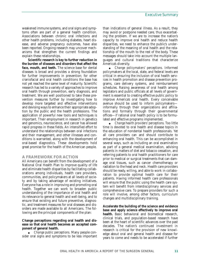weakened immune systems, and oral signs and symptoms often are part of a general health condition. Associations between chronic oral infections and other health problems, including diabetes, heart disease, and adverse pregnancy outcomes, have also been reported. Ongoing research may uncover mechanisms that strengthen the current findings and explain these relationships.

**Scientific research is key to further reduction in the burden of diseases and disorders that affect the face, mouth, and teeth.** The science base for dental diseases is broad and provides a strong foundation for further improvements in prevention; for other craniofacial and oral health conditions the base has not yet reached the same level of maturity. Scientific research has led to a variety of approaches to improve oral health through prevention, early diagnosis, and treatment. We are well positioned to take these prevention measures further by investigating how to develop more targeted and effective interventions and devising ways to enhance their appropriate adoption by the public and the health professions. The application of powerful new tools and techniques is important. Their employment in research in genetics and genomics, neuroscience, and cancer has allowed rapid progress in these fields. An intensified effort to understand the relationships between oral infections and their management, and other illnesses and conditions is warranted, along with the development of oral-based diagnostics. These developments hold great promise for the health of the American people.

#### **A FRAMEWORK FOR ACTION**

All Americans can benefit from the development of a National Oral Health Plan to improve quality of life and eliminate health disparities by facilitating collaborations among individuals, health care providers, communities, and policymakers at all levels of society and by taking advantage of existing initiatives. Everyone has a role in improving and promoting oral health. Together we can work to broaden public understanding of the importance of oral health and its relevance to general health and well-being, and to ensure that existing and future preventive, diagnostic, and treatment measures for oral diseases and disorders are made available to all Americans. The following are the principal components of the plan:

#### **Change perceptions regarding oral health and disease so that oral health becomes an accepted component of general health.**

● *Change public perceptions.* Many people consider oral signs and symptoms to be less important

than indications of general illness. As a result, they may avoid or postpone needed care, thus exacerbating the problem. If we are to increase the nation's capacity to improve oral health and reduce health disparities, we need to enhance the public's understanding of the meaning of oral health and the relationship of the mouth to the rest of the body. These messages should take into account the multiple languages and cultural traditions that characterize America's diversity.

● *Change policymakers' perceptions.* Informed policymakers at the local, state, and federal levels are critical in ensuring the inclusion of oral health services in health promotion and disease prevention programs, care delivery systems, and reimbursement schedules. Raising awareness of oral health among legislators and public officials at all levels of government is essential to creating effective public policy to improve America's oral health. Every conceivable avenue should be used to inform policymakers informally through their organizations and affiliations and formally through their governmental offices—if rational oral health policy is to be formulated and effective programs implemented.

● *Change health providers' perceptions.* Too little time is devoted to oral health and disease topics in the education of nondental health professionals. Yet all care providers can and should contribute to enhancing oral health. This can be accomplished in several ways, such as including an oral examination as part of a general medical examination, advising patients in matters of diet and tobacco cessation, and referring patients to oral health practitioners for care prior to medical or surgical treatments that can damage oral tissues, such as cancer chemotherapy or radiation to the head and neck. Health care providers should be ready, willing, and able to work in collaboration to provide optimal health care for their patients. Having informed health care professionals will ensure that the public using the health care system will benefit from interdisciplinary services and comprehensive care. To prepare providers for such a role will involve, among other factors, curriculum changes and multidisciplinary training.

**Accelerate the building of the science and evidence base and apply science effectively to improve oral health.** Basic behavioral and biomedical research, clinical trials, and population-based research have been at the heart of scientific advances over the past decades. The nation's continued investment in research is critical for the provision of new knowledge about oral and general health and disease for years to come and needs to be accelerated if further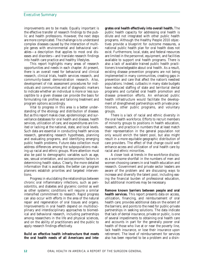improvements are to be made. Equally important is the effective transfer of research findings to the public and health professions. However, the next steps are more complicated. The challenge is to understand complex diseases caused by the interaction of multiple genes with environmental and behavioral variables—a description that applies to most oral diseases and disorders—and translate research findings into health care practice and healthy lifestyles.

This report highlights many areas of research opportunities and needs in each chapter. At present, there is an overall need for behavioral and clinical research, clinical trials, health services research, and community-based demonstration research. Also, development of risk assessment procedures for individuals and communities and of diagnostic markers to indicate whether an individual is more or less susceptible to a given disease can provide the basis for formulating risk profiles and tailoring treatment and program options accordingly.

Vital to progress in this area is a better understanding of the etiology and distribution of disease. But as this report makes clear, epidemiologic and surveillance databases for oral health and disease, health services, utilization of care, and expenditures are limited or lacking at the national, state, and local levels. Such data are essential in conducting health services research, generating research hypotheses, planning and evaluating programs, and identifying emerging public health problems. Future data collection must address differences among the subpopulations making up racial and ethnic groups. More attention must also be paid to demographic variables such as age, sex, sexual orientation, and socioeconomic factors in determining health status. Clearly, the more detailed information that is available, the better can program planners establish priorities and targeted interventions.

Progress in elucidating the relationships between chronic oral inflammatory infections, such as periodontitis, and diabetes and glycemic control as well as other systemic conditions will require a similar intensified commitment to research. Rapid progress can also occur with efforts in the area of the natural repair and regeneration of oral tissues and organs. Improvements in oral health depend on multidisciplinary and interdisciplinary approaches to biomedical and behavioral research, including partnerships among researchers in the life and physical sciences, and on the ability of practitioners and the public to apply research findings effectively.

**Build an effective health infrastructure that meets the oral health needs of all Americans and inte-** **grates oral health effectively into overall health.** The public health capacity for addressing oral health is dilute and not integrated with other public health programs. Although the Healthy People 2010 objectives provide a blueprint for outcome measures, a national public health plan for oral health does not exist. Furthermore, local, state, and federal resources are limited in the personnel, equipment, and facilities available to support oral health programs. There is also a lack of available trained public health practitioners knowledgeable about oral health. As a result, existing disease prevention programs are not being implemented in many communities, creating gaps in prevention and care that affect the nation's neediest populations. Indeed, cutbacks in many state budgets have reduced staffing of state and territorial dental programs and curtailed oral health promotion and disease prevention efforts. An enhanced public health infrastructure would facilitate the development of strengthened partnerships with private practitioners, other public programs, and voluntary groups.

There is a lack of racial and ethnic diversity in the oral health workforce. Efforts to recruit members of minority groups to positions in health education, research, and practice in numbers that at least match their representation in the general population not only would enrich the talent pool, but also might result in a more equitable geographic distribution of care providers. The effect of that change could well enhance access and utilization of oral health care by racial and ethnic minorities.

A closer look at trends in the workforce discloses a worrisome shortfall in the numbers of men and women choosing careers in oral health education and research. Government and private sector leaders are aware of the problem and are discussing ways to increase and diversify the talent pool, including easing the financial burden of professional education, but additional incentives may be necessary.

**Remove known barriers between people and oral health services.** This report presents data on access, utilization, financing, and reimbursement of oral health care; provides additional data on the extent of the barriers; and points to the need for public-private partnerships in seeking solutions. The data indicate that lack of dental insurance, private or public, is one of several impediments to obtaining oral health care and accounts in part for the generally poorer oral health of those who live at or near the poverty line, lack health insurance, or lose their insurance upon retirement. The level of reimbursement for services also has been reported to be a problem and a disin